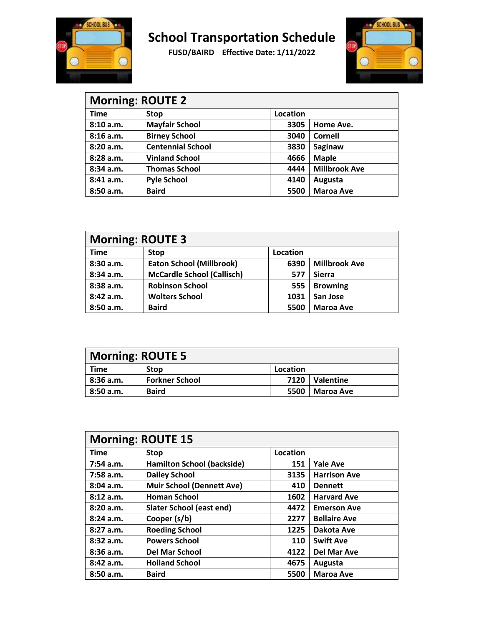



| <b>Morning: ROUTE 2</b> |                          |          |                      |  |
|-------------------------|--------------------------|----------|----------------------|--|
| <b>Time</b>             | <b>Stop</b>              | Location |                      |  |
| 8:10 a.m.               | <b>Mayfair School</b>    | 3305     | Home Ave.            |  |
| 8:16 a.m.               | <b>Birney School</b>     | 3040     | Cornell              |  |
| 8:20a.m.                | <b>Centennial School</b> | 3830     | Saginaw              |  |
| 8:28a.m.                | <b>Vinland School</b>    | 4666     | <b>Maple</b>         |  |
| 8:34 a.m.               | <b>Thomas School</b>     | 4444     | <b>Millbrook Ave</b> |  |
| 8:41 a.m.               | <b>Pyle School</b>       | 4140     | Augusta              |  |
| 8:50 a.m.               | <b>Baird</b>             | 5500     | <b>Maroa Ave</b>     |  |

| <b>Morning: ROUTE 3</b> |                                   |          |                      |  |
|-------------------------|-----------------------------------|----------|----------------------|--|
| <b>Time</b>             | <b>Stop</b>                       | Location |                      |  |
| 8:30 a.m.               | <b>Eaton School (Millbrook)</b>   | 6390     | <b>Millbrook Ave</b> |  |
| 8:34 a.m.               | <b>McCardle School (Callisch)</b> | 577      | <b>Sierra</b>        |  |
| 8:38 a.m.               | <b>Robinson School</b>            | 555      | <b>Browning</b>      |  |
| 8:42 a.m.               | <b>Wolters School</b>             | 1031     | San Jose             |  |
| 8:50 a.m.               | <b>Baird</b>                      | 5500     | <b>Maroa Ave</b>     |  |

| <b>Morning: ROUTE 5</b> |                       |          |                  |
|-------------------------|-----------------------|----------|------------------|
| Time                    | <b>Stop</b>           | Location |                  |
| 8:36 a.m.               | <b>Forkner School</b> | 7120     | Valentine        |
| 8:50a.m.                | <b>Baird</b>          | 5500     | <b>Maroa Ave</b> |

| <b>Morning: ROUTE 15</b> |                                   |          |                     |  |
|--------------------------|-----------------------------------|----------|---------------------|--|
| <b>Time</b>              | <b>Stop</b>                       | Location |                     |  |
| $7:54$ a.m.              | <b>Hamilton School (backside)</b> | 151      | <b>Yale Ave</b>     |  |
| $7:58$ a.m.              | <b>Dailey School</b>              | 3135     | <b>Harrison Ave</b> |  |
| 8:04a.m.                 | <b>Muir School (Dennett Ave)</b>  | 410      | <b>Dennett</b>      |  |
| 8:12a.m.                 | <b>Homan School</b>               | 1602     | <b>Harvard Ave</b>  |  |
| 8:20a.m.                 | Slater School (east end)          | 4472     | <b>Emerson Ave</b>  |  |
| 8:24a.m.                 | Cooper (s/b)                      | 2277     | <b>Bellaire Ave</b> |  |
| 8:27a.m.                 | <b>Roeding School</b>             | 1225     | Dakota Ave          |  |
| 8:32 a.m.                | <b>Powers School</b>              | 110      | <b>Swift Ave</b>    |  |
| $8:36$ a.m.              | <b>Del Mar School</b>             | 4122     | <b>Del Mar Ave</b>  |  |
| 8:42 a.m.                | <b>Holland School</b>             | 4675     | Augusta             |  |
| 8:50a.m.                 | <b>Baird</b>                      | 5500     | <b>Maroa Ave</b>    |  |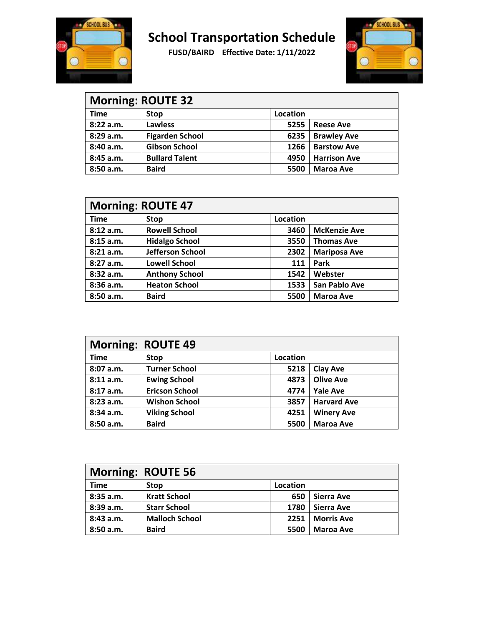



| <b>Morning: ROUTE 32</b> |                        |          |                     |  |
|--------------------------|------------------------|----------|---------------------|--|
| <b>Time</b>              | <b>Stop</b>            | Location |                     |  |
| 8:22 a.m.                | <b>Lawless</b>         | 5255     | <b>Reese Ave</b>    |  |
| 8:29a.m.                 | <b>Figarden School</b> | 6235     | <b>Brawley Ave</b>  |  |
| 8:40 a.m.                | <b>Gibson School</b>   | 1266     | <b>Barstow Ave</b>  |  |
| 8:45 a.m.                | <b>Bullard Talent</b>  | 4950     | <b>Harrison Ave</b> |  |
| 8:50 a.m.                | <b>Baird</b>           | 5500     | <b>Maroa Ave</b>    |  |

| <b>Morning: ROUTE 47</b> |                       |          |                     |
|--------------------------|-----------------------|----------|---------------------|
| <b>Time</b>              | <b>Stop</b>           | Location |                     |
| 8:12 a.m.                | <b>Rowell School</b>  | 3460     | <b>McKenzie Ave</b> |
| 8:15a.m.                 | <b>Hidalgo School</b> | 3550     | <b>Thomas Ave</b>   |
| 8:21 a.m.                | Jefferson School      | 2302     | <b>Mariposa Ave</b> |
| 8:27a.m.                 | <b>Lowell School</b>  | 111      | Park                |
| 8:32 a.m.                | <b>Anthony School</b> | 1542     | Webster             |
| 8:36 a.m.                | <b>Heaton School</b>  | 1533     | San Pablo Ave       |
| 8:50a.m.                 | <b>Baird</b>          | 5500     | <b>Maroa Ave</b>    |

| <b>Morning: ROUTE 49</b> |                       |          |                    |  |
|--------------------------|-----------------------|----------|--------------------|--|
| <b>Time</b>              | <b>Stop</b>           | Location |                    |  |
| 8:07a.m.                 | <b>Turner School</b>  | 5218     | <b>Clay Ave</b>    |  |
| 8:11 a.m.                | <b>Ewing School</b>   | 4873     | <b>Olive Ave</b>   |  |
| 8:17a.m.                 | <b>Ericson School</b> | 4774     | <b>Yale Ave</b>    |  |
| 8:23 a.m.                | <b>Wishon School</b>  | 3857     | <b>Harvard Ave</b> |  |
| 8:34a.m.                 | <b>Viking School</b>  | 4251     | <b>Winery Ave</b>  |  |
| 8:50a.m.                 | <b>Baird</b>          | 5500     | <b>Maroa Ave</b>   |  |

| <b>Morning: ROUTE 56</b> |                       |          |                   |  |
|--------------------------|-----------------------|----------|-------------------|--|
| <b>Time</b>              | <b>Stop</b>           | Location |                   |  |
| 8:35 a.m.                | <b>Kratt School</b>   | 650      | <b>Sierra Ave</b> |  |
| 8:39 a.m.                | <b>Starr School</b>   | 1780     | Sierra Ave        |  |
| 8:43 a.m.                | <b>Malloch School</b> | 2251     | <b>Morris Ave</b> |  |
| 8:50a.m.                 | <b>Baird</b>          | 5500     | <b>Maroa Ave</b>  |  |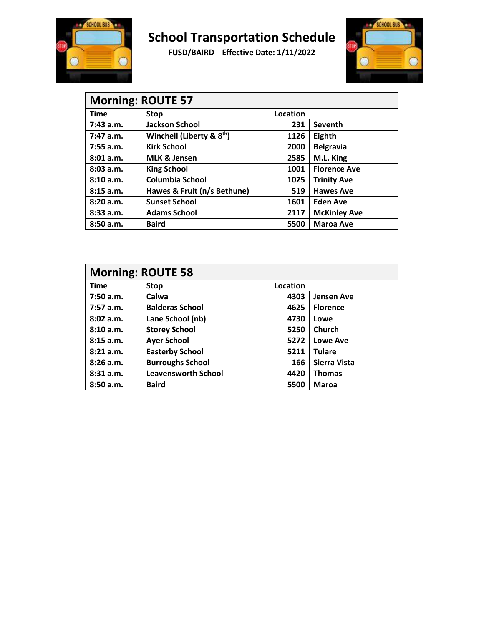



| <b>Morning: ROUTE 57</b> |                                       |          |                     |  |
|--------------------------|---------------------------------------|----------|---------------------|--|
| <b>Time</b>              | Stop                                  | Location |                     |  |
| $7:43$ a.m.              | <b>Jackson School</b>                 | 231      | <b>Seventh</b>      |  |
| $7:47$ a.m.              | Winchell (Liberty & 8 <sup>th</sup> ) | 1126     | Eighth              |  |
| 7:55 a.m.                | <b>Kirk School</b>                    | 2000     | <b>Belgravia</b>    |  |
| 8:01 a.m.                | <b>MLK &amp; Jensen</b>               | 2585     | M.L. King           |  |
| 8:03a.m.                 | <b>King School</b>                    | 1001     | <b>Florence Ave</b> |  |
| 8:10a.m.                 | <b>Columbia School</b>                | 1025     | <b>Trinity Ave</b>  |  |
| 8:15a.m.                 | Hawes & Fruit (n/s Bethune)           | 519      | <b>Hawes Ave</b>    |  |
| 8:20a.m.                 | <b>Sunset School</b>                  | 1601     | <b>Eden Ave</b>     |  |
| 8:33a.m.                 | <b>Adams School</b>                   | 2117     | <b>McKinley Ave</b> |  |
| 8:50a.m.                 | <b>Baird</b>                          | 5500     | <b>Maroa Ave</b>    |  |

| <b>Morning: ROUTE 58</b> |                            |          |                   |  |
|--------------------------|----------------------------|----------|-------------------|--|
| <b>Time</b>              | <b>Stop</b>                | Location |                   |  |
| 7:50a.m.                 | Calwa                      | 4303     | <b>Jensen Ave</b> |  |
| 7:57a.m.                 | <b>Balderas School</b>     | 4625     | <b>Florence</b>   |  |
| 8:02 a.m.                | Lane School (nb)           | 4730     | Lowe              |  |
| 8:10 a.m.                | <b>Storey School</b>       | 5250     | Church            |  |
| 8:15a.m.                 | <b>Ayer School</b>         | 5272     | <b>Lowe Ave</b>   |  |
| 8:21 a.m.                | <b>Easterby School</b>     | 5211     | <b>Tulare</b>     |  |
| 8:26a.m.                 | <b>Burroughs School</b>    | 166      | Sierra Vista      |  |
| 8:31 a.m.                | <b>Leavensworth School</b> | 4420     | <b>Thomas</b>     |  |
| 8:50a.m.                 | <b>Baird</b>               | 5500     | <b>Maroa</b>      |  |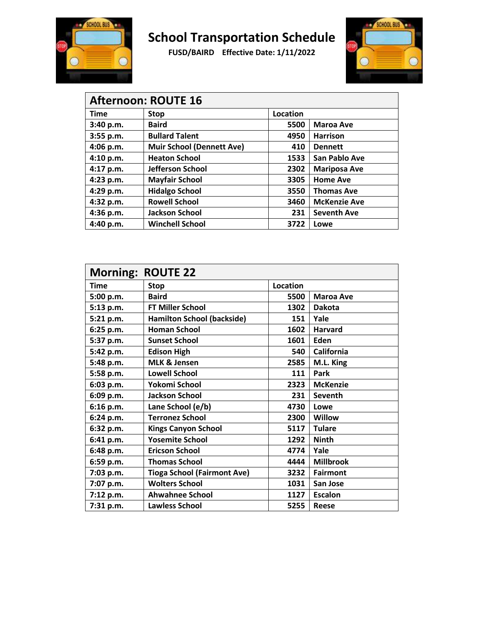



| <b>Afternoon: ROUTE 16</b> |                                  |          |                     |  |
|----------------------------|----------------------------------|----------|---------------------|--|
| <b>Time</b>                | <b>Stop</b>                      | Location |                     |  |
| 3:40 p.m.                  | <b>Baird</b>                     | 5500     | <b>Maroa Ave</b>    |  |
| 3:55 p.m.                  | <b>Bullard Talent</b>            | 4950     | <b>Harrison</b>     |  |
| 4:06 p.m.                  | <b>Muir School (Dennett Ave)</b> | 410      | <b>Dennett</b>      |  |
| 4:10 p.m.                  | <b>Heaton School</b>             | 1533     | San Pablo Ave       |  |
| 4:17 p.m.                  | Jefferson School                 | 2302     | <b>Mariposa Ave</b> |  |
| 4:23 p.m.                  | <b>Mayfair School</b>            | 3305     | <b>Home Ave</b>     |  |
| 4:29 p.m.                  | <b>Hidalgo School</b>            | 3550     | <b>Thomas Ave</b>   |  |
| 4:32 p.m.                  | <b>Rowell School</b>             | 3460     | <b>McKenzie Ave</b> |  |
| $4:36$ p.m.                | <b>Jackson School</b>            | 231      | <b>Seventh Ave</b>  |  |
| 4:40 p.m.                  | <b>Winchell School</b>           | 3722     | Lowe                |  |

| <b>Morning: ROUTE 22</b> |                                    |                 |                  |
|--------------------------|------------------------------------|-----------------|------------------|
| <b>Time</b>              | <b>Stop</b>                        | <b>Location</b> |                  |
| 5:00 p.m.                | <b>Baird</b>                       | 5500            | <b>Maroa Ave</b> |
| 5:13 p.m.                | <b>FT Miller School</b>            | 1302            | <b>Dakota</b>    |
| 5:21 p.m.                | <b>Hamilton School (backside)</b>  | 151             | Yale             |
| 6:25 p.m.                | <b>Homan School</b>                | 1602            | <b>Harvard</b>   |
| 5:37 p.m.                | <b>Sunset School</b>               | 1601            | Eden             |
| 5:42 p.m.                | <b>Edison High</b>                 | 540             | California       |
| 5:48 p.m.                | <b>MLK &amp; Jensen</b>            | 2585            | M.L. King        |
| 5:58 p.m.                | <b>Lowell School</b>               | 111             | Park             |
| 6:03 p.m.                | Yokomi School                      | 2323            | <b>McKenzie</b>  |
| 6:09 p.m.                | <b>Jackson School</b>              | 231             | <b>Seventh</b>   |
| 6:16 p.m.                | Lane School (e/b)                  | 4730            | Lowe             |
| 6:24 p.m.                | <b>Terronez School</b>             | 2300            | Willow           |
| 6:32 p.m.                | <b>Kings Canyon School</b>         | 5117            | <b>Tulare</b>    |
| 6:41 p.m.                | <b>Yosemite School</b>             | 1292            | <b>Ninth</b>     |
| 6:48 p.m.                | <b>Ericson School</b>              | 4774            | Yale             |
| 6:59 p.m.                | <b>Thomas School</b>               | 4444            | <b>Millbrook</b> |
| 7:03 p.m.                | <b>Tioga School (Fairmont Ave)</b> | 3232            | <b>Fairmont</b>  |
| 7:07 p.m.                | <b>Wolters School</b>              | 1031            | San Jose         |
| 7:12 p.m.                | <b>Ahwahnee School</b>             | 1127            | <b>Escalon</b>   |
| 7:31 p.m.                | <b>Lawless School</b>              | 5255            | <b>Reese</b>     |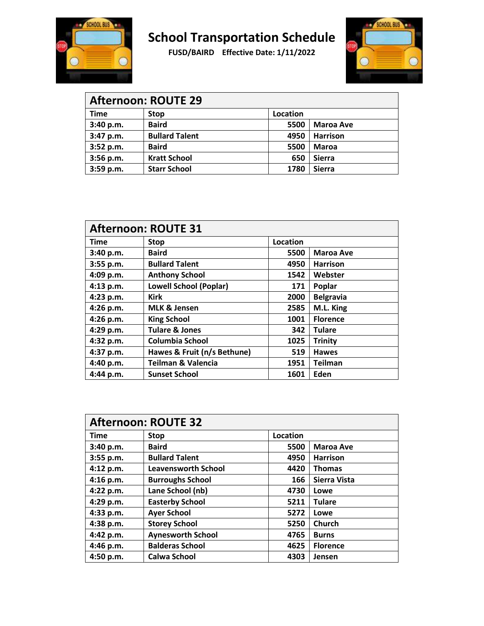



| <b>Afternoon: ROUTE 29</b> |                       |          |                  |  |
|----------------------------|-----------------------|----------|------------------|--|
| <b>Time</b>                | <b>Stop</b>           | Location |                  |  |
| 3:40 p.m.                  | <b>Baird</b>          | 5500     | <b>Maroa Ave</b> |  |
| 3:47 p.m.                  | <b>Bullard Talent</b> | 4950     | <b>Harrison</b>  |  |
| 3:52 p.m.                  | <b>Baird</b>          | 5500     | <b>Maroa</b>     |  |
| 3:56 p.m.                  | <b>Kratt School</b>   | 650      | <b>Sierra</b>    |  |
| 3:59 p.m.                  | <b>Starr School</b>   | 1780     | <b>Sierra</b>    |  |

| <b>Afternoon: ROUTE 31</b> |                               |          |                  |
|----------------------------|-------------------------------|----------|------------------|
| <b>Time</b>                | <b>Stop</b>                   | Location |                  |
| 3:40 p.m.                  | <b>Baird</b>                  | 5500     | <b>Maroa Ave</b> |
| 3:55 p.m.                  | <b>Bullard Talent</b>         | 4950     | <b>Harrison</b>  |
| 4:09 p.m.                  | <b>Anthony School</b>         | 1542     | Webster          |
| 4:13 p.m.                  | <b>Lowell School (Poplar)</b> | 171      | Poplar           |
| 4:23 p.m.                  | <b>Kirk</b>                   | 2000     | <b>Belgravia</b> |
| 4:26 p.m.                  | <b>MLK &amp; Jensen</b>       | 2585     | M.L. King        |
| 4:26 p.m.                  | <b>King School</b>            | 1001     | <b>Florence</b>  |
| 4:29 p.m.                  | <b>Tulare &amp; Jones</b>     | 342      | <b>Tulare</b>    |
| 4:32 p.m.                  | Columbia School               | 1025     | <b>Trinity</b>   |
| 4:37 p.m.                  | Hawes & Fruit (n/s Bethune)   | 519      | <b>Hawes</b>     |
| 4:40 p.m.                  | <b>Teilman &amp; Valencia</b> | 1951     | <b>Teilman</b>   |
| 4:44 p.m.                  | <b>Sunset School</b>          | 1601     | Eden             |

| <b>Afternoon: ROUTE 32</b> |                            |          |                  |
|----------------------------|----------------------------|----------|------------------|
| <b>Time</b>                | <b>Stop</b>                | Location |                  |
| 3:40 p.m.                  | <b>Baird</b>               | 5500     | <b>Maroa Ave</b> |
| 3:55 p.m.                  | <b>Bullard Talent</b>      | 4950     | <b>Harrison</b>  |
| 4:12 p.m.                  | <b>Leavensworth School</b> | 4420     | <b>Thomas</b>    |
| 4:16 p.m.                  | <b>Burroughs School</b>    | 166      | Sierra Vista     |
| 4:22 p.m.                  | Lane School (nb)           | 4730     | Lowe             |
| 4:29 p.m.                  | <b>Easterby School</b>     | 5211     | <b>Tulare</b>    |
| 4:33 p.m.                  | <b>Ayer School</b>         | 5272     | Lowe             |
| 4:38 p.m.                  | <b>Storey School</b>       | 5250     | Church           |
| 4:42 p.m.                  | <b>Aynesworth School</b>   | 4765     | <b>Burns</b>     |
| 4:46 p.m.                  | <b>Balderas School</b>     | 4625     | <b>Florence</b>  |
| 4:50 p.m.                  | Calwa School               | 4303     | Jensen           |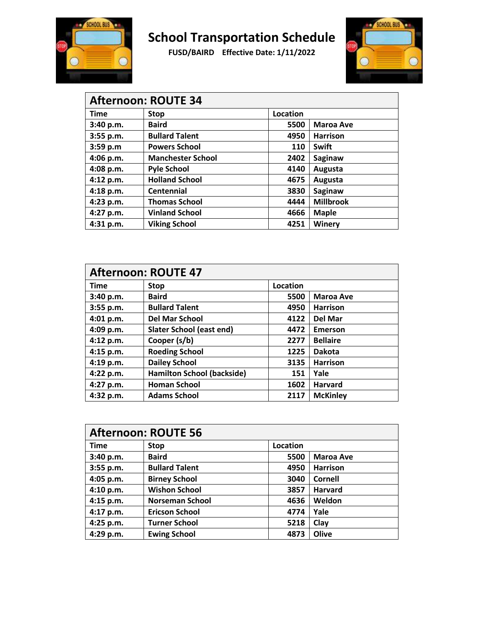



| <b>Afternoon: ROUTE 34</b> |                          |          |                  |  |
|----------------------------|--------------------------|----------|------------------|--|
| <b>Time</b>                | <b>Stop</b>              | Location |                  |  |
| 3:40 p.m.                  | <b>Baird</b>             | 5500     | <b>Maroa Ave</b> |  |
| 3:55 p.m.                  | <b>Bullard Talent</b>    | 4950     | <b>Harrison</b>  |  |
| 3:59 p.m                   | <b>Powers School</b>     | 110      | Swift            |  |
| 4:06 p.m.                  | <b>Manchester School</b> | 2402     | Saginaw          |  |
| 4:08 p.m.                  | <b>Pyle School</b>       | 4140     | Augusta          |  |
| 4:12 p.m.                  | <b>Holland School</b>    | 4675     | Augusta          |  |
| 4:18 p.m.                  | Centennial               | 3830     | Saginaw          |  |
| 4:23 p.m.                  | <b>Thomas School</b>     | 4444     | <b>Millbrook</b> |  |
| 4:27 p.m.                  | <b>Vinland School</b>    | 4666     | <b>Maple</b>     |  |
| 4:31 p.m.                  | <b>Viking School</b>     | 4251     | Winery           |  |

| <b>Afternoon: ROUTE 47</b> |                                   |                 |                  |
|----------------------------|-----------------------------------|-----------------|------------------|
| <b>Time</b>                | <b>Stop</b>                       | <b>Location</b> |                  |
| 3:40 p.m.                  | <b>Baird</b>                      | 5500            | <b>Maroa Ave</b> |
| 3:55 p.m.                  | <b>Bullard Talent</b>             | 4950            | <b>Harrison</b>  |
| 4:01 p.m.                  | <b>Del Mar School</b>             | 4122            | Del Mar          |
| 4:09 p.m.                  | Slater School (east end)          | 4472            | Emerson          |
| 4:12 p.m.                  | Cooper (s/b)                      | 2277            | <b>Bellaire</b>  |
| 4:15 p.m.                  | <b>Roeding School</b>             | 1225            | <b>Dakota</b>    |
| 4:19 p.m.                  | <b>Dailey School</b>              | 3135            | <b>Harrison</b>  |
| 4:22 p.m.                  | <b>Hamilton School (backside)</b> | 151             | Yale             |
| 4:27 p.m.                  | <b>Homan School</b>               | 1602            | <b>Harvard</b>   |
| 4:32 p.m.                  | <b>Adams School</b>               | 2117            | <b>McKinley</b>  |

| <b>Afternoon: ROUTE 56</b> |                        |                 |                  |
|----------------------------|------------------------|-----------------|------------------|
| <b>Time</b>                | <b>Stop</b>            | <b>Location</b> |                  |
| 3:40 p.m.                  | <b>Baird</b>           | 5500            | <b>Maroa Ave</b> |
| 3:55 p.m.                  | <b>Bullard Talent</b>  | 4950            | <b>Harrison</b>  |
| 4:05 p.m.                  | <b>Birney School</b>   | 3040            | <b>Cornell</b>   |
| 4:10 p.m.                  | <b>Wishon School</b>   | 3857            | <b>Harvard</b>   |
| 4:15 p.m.                  | <b>Norseman School</b> | 4636            | Weldon           |
| 4:17 p.m.                  | <b>Ericson School</b>  | 4774            | Yale             |
| 4:25 p.m.                  | <b>Turner School</b>   | 5218            | Clay             |
| 4:29 p.m.                  | <b>Ewing School</b>    | 4873            | Olive            |